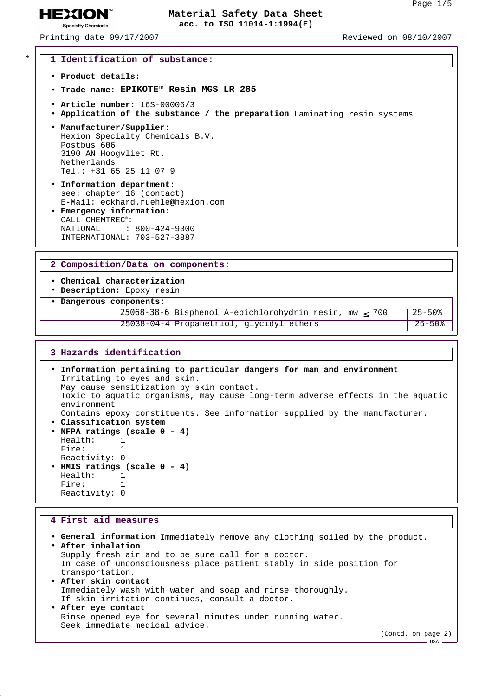**HEXION® Specialty Chemicals** 

## Printing date 09/17/2007 Reviewed on 08/10/2007

### \* **1 Identification of substance:**

- **Product details:**
- **Trade name: EPIKOTETM Resin MGS LR 285**
- **Article number:** 16S-00006/3
- **Application of the substance / the preparation** Laminating resin systems
- **Manufacturer/Supplier:** Hexion Specialty Chemicals B.V. Postbus 606 3190 AN Hoogvliet Rt. Netherlands Tel.: +31 65 25 11 07 9
- **Information department:** see: chapter 16 (contact) E-Mail: eckhard.ruehle@hexion.com
- **Emergency information:** CALL CHEMTREC®: NATIONAL : 800-424-9300 INTERNATIONAL: 703-527-3887

### **2 Composition/Data on components:**

## • **Chemical characterization**

• **Description:** Epoxy resin

• **Dangerous components:**

```
25068-38-6 Bisphenol A-epichlorohydrin resin, mw \leq 700 25-50%<br>25038-04-4 Propanetriol glycidyl ethers 25-50%
25038-04-4 Propanetriol, glycidyl ethers
```
#### **3 Hazards identification**

• **Information pertaining to particular dangers for man and environment** Irritating to eyes and skin. May cause sensitization by skin contact. Toxic to aquatic organisms, may cause long-term adverse effects in the aquatic environment Contains epoxy constituents. See information supplied by the manufacturer. • **Classification system**

- **NFPA ratings (scale 0 4)**
- Health: 1 Fire: 1 Reactivity: 0 • **HMIS ratings (scale 0 - 4)** Health: 1 Fire: 1 Reactivity: 0

### **4 First aid measures**

```
• General information Immediately remove any clothing soiled by the product.
• After inhalation
 Supply fresh air and to be sure call for a doctor.
 In case of unconsciousness place patient stably in side position for
 transportation.
• After skin contact
 Immediately wash with water and soap and rinse thoroughly.
 If skin irritation continues, consult a doctor.
• After eye contact
 Rinse opened eye for several minutes under running water.
 Seek immediate medical advice.
                                                                    (Contd. on page 2)
```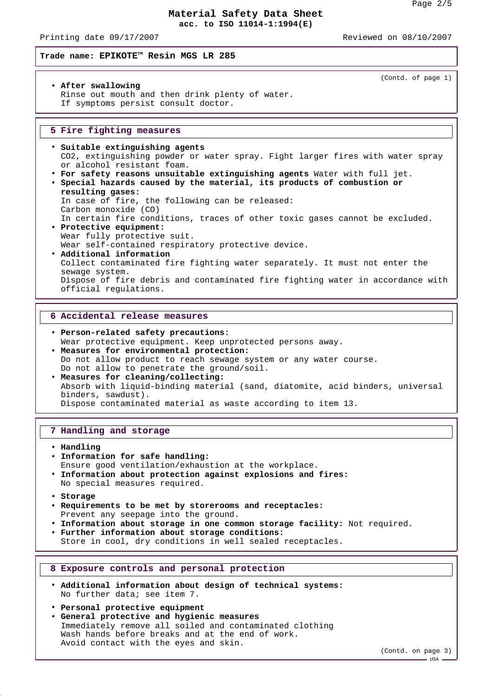Printing date 09/17/2007 Reviewed on 08/10/2007

#### **Trade name: EPIKOTETM Resin MGS LR 285**

#### (Contd. of page 1)

• **After swallowing** Rinse out mouth and then drink plenty of water. If symptoms persist consult doctor.

#### **5 Fire fighting measures**

- **Suitable extinguishing agents** CO2, extinguishing powder or water spray. Fight larger fires with water spray or alcohol resistant foam.
- **For safety reasons unsuitable extinguishing agents** Water with full jet.
- **Special hazards caused by the material, its products of combustion or resulting gases:**

In case of fire, the following can be released: Carbon monoxide (CO)

- In certain fire conditions, traces of other toxic gases cannot be excluded. • **Protective equipment:**
- Wear fully protective suit. Wear self-contained respiratory protective device.
- **Additional information** Collect contaminated fire fighting water separately. It must not enter the sewage system. Dispose of fire debris and contaminated fire fighting water in accordance with official regulations.

### **6 Accidental release measures**

- **Person-related safety precautions:** Wear protective equipment. Keep unprotected persons away. • **Measures for environmental protection:** Do not allow product to reach sewage system or any water course. Do not allow to penetrate the ground/soil.
- **Measures for cleaning/collecting:** Absorb with liquid-binding material (sand, diatomite, acid binders, universal binders, sawdust). Dispose contaminated material as waste according to item 13.

#### **7 Handling and storage**

- **Handling**
- **Information for safe handling:**
- Ensure good ventilation/exhaustion at the workplace. • **Information about protection against explosions and fires:** No special measures required.
- **Storage**
- **Requirements to be met by storerooms and receptacles:** Prevent any seepage into the ground.
- **Information about storage in one common storage facility:** Not required.
- **Further information about storage conditions:**
	- Store in cool, dry conditions in well sealed receptacles.

#### **8 Exposure controls and personal protection**

- **Additional information about design of technical systems:** No further data; see item 7.
- **Personal protective equipment**
- **General protective and hygienic measures** Immediately remove all soiled and contaminated clothing Wash hands before breaks and at the end of work. Avoid contact with the eyes and skin.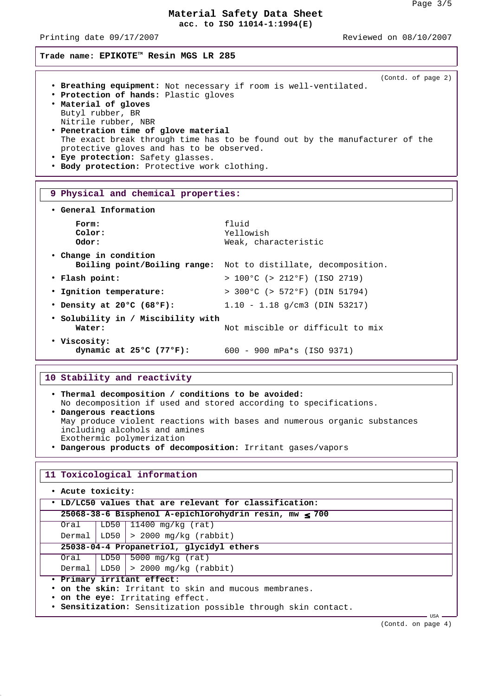Printing date 09/17/2007 Reviewed on 08/10/2007

(Contd. of page 2)

**Trade name: EPIKOTETM Resin MGS LR 285**

- **Breathing equipment:** Not necessary if room is well-ventilated.
- **Protection of hands:** Plastic gloves
- **Material of gloves** Butyl rubber, BR Nitrile rubber, NBR
- **Penetration time of glove material** The exact break through time has to be found out by the manufacturer of the protective gloves and has to be observed.
- **Eye protection:** Safety glasses.
- **Body protection:** Protective work clothing.

### **9 Physical and chemical properties:**

| • General Information                             |                                                    |
|---------------------------------------------------|----------------------------------------------------|
| Form:<br>Color:<br>Odor:                          | fluid<br>Yellowish<br>Weak, characteristic         |
| • Change in condition                             |                                                    |
| Boiling point/Boiling range:                      | Not to distillate, decomposition.                  |
| • Flash point:                                    | $> 100^{\circ}$ C (> 212°F) (ISO 2719)             |
| . Ignition temperature:                           | $> 300^{\circ}$ C ( $> 572^{\circ}$ F) (DIN 51794) |
| • Density at 20 $\degree$ C (68 $\degree$ F):     | $1.10 - 1.18$ q/cm3 (DIN 53217)                    |
| • Solubility in / Miscibility with<br>Water:      | Not miscible or difficult to mix                   |
| • Viscosity:<br>dynamic at $25^{\circ}$ C (77°F): | $600 - 900$ mPa*s (ISO 9371)                       |

### **10 Stability and reactivity**

| . Thermal decomposition / conditions to be avoided:                      |  |  |
|--------------------------------------------------------------------------|--|--|
| No decomposition if used and stored according to specifications.         |  |  |
| • Dangerous reactions                                                    |  |  |
| May produce violent reactions with bases and numerous organic substances |  |  |
| including alcohols and amines                                            |  |  |
| Exothermic polymerization                                                |  |  |
| . Dangerous products of decomposition: Irritant gases/vapors             |  |  |

#### **11 Toxicological information**

| • Acute toxicity:                                      |                                                               |                                         |  |  |  |
|--------------------------------------------------------|---------------------------------------------------------------|-----------------------------------------|--|--|--|
| . LD/LC50 values that are relevant for classification: |                                                               |                                         |  |  |  |
|                                                        | 25068-38-6 Bisphenol A-epichlorohydrin resin, mw < 700        |                                         |  |  |  |
| Oral                                                   |                                                               | $LD50$ 11400 mg/kg (rat)                |  |  |  |
|                                                        |                                                               | Dermal   LD50 $  > 2000$ mg/kg (rabbit) |  |  |  |
|                                                        | 25038-04-4 Propanetriol, glycidyl ethers                      |                                         |  |  |  |
| Oral                                                   |                                                               | LD50   5000 mg/kg $(rat)$               |  |  |  |
|                                                        |                                                               | Dermal   LD50 $  > 2000$ mg/kg (rabbit) |  |  |  |
| · Primary irritant effect:                             |                                                               |                                         |  |  |  |
|                                                        | • on the skin: Irritant to skin and mucous membranes.         |                                         |  |  |  |
|                                                        | . on the eye: Irritating effect.                              |                                         |  |  |  |
|                                                        | . Sensitization: Sensitization possible through skin contact. |                                         |  |  |  |

UTRA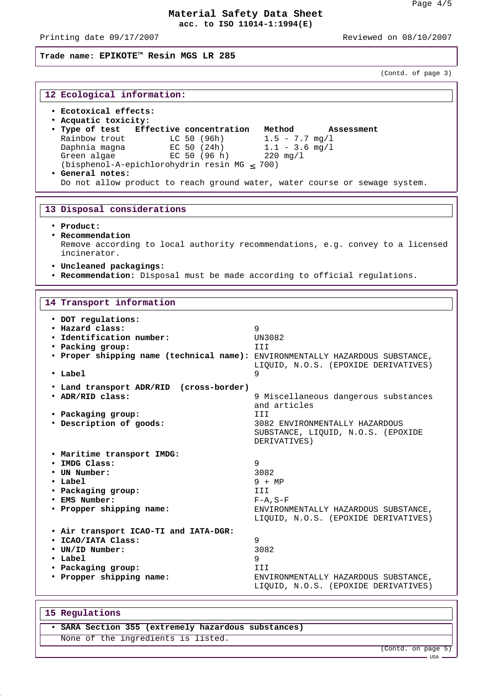Printing date 09/17/2007 **Reviewed on 08/10/2007** 

**Trade name: EPIKOTETM Resin MGS LR 285**

(Contd. of page 3)

| 12 Ecological information:                                                                                                                                                                                                                                                                                                                                                          |                                                                                                             |  |
|-------------------------------------------------------------------------------------------------------------------------------------------------------------------------------------------------------------------------------------------------------------------------------------------------------------------------------------------------------------------------------------|-------------------------------------------------------------------------------------------------------------|--|
| • Ecotoxical effects:<br>• Acquatic toxicity:<br>. Type of test  Effective concentration  Method<br>Rainbow trout<br>LC 50 (96h) $1.5 - 7.7$ mg/l<br>Daphnia magna<br>EC 50 $(24h)$ 1.1 - 3.6 mg/l<br>Green algae<br>EC 50 (96 h)<br>(bisphenol-A-epichlorohydrin resin MG < 700)<br>• General notes:<br>Do not allow product to reach ground water, water course or sewage system. | Assessment<br>220 mg/l                                                                                      |  |
| 13 Disposal considerations                                                                                                                                                                                                                                                                                                                                                          |                                                                                                             |  |
|                                                                                                                                                                                                                                                                                                                                                                                     |                                                                                                             |  |
| • Product:<br>• Recommendation<br>incinerator.                                                                                                                                                                                                                                                                                                                                      | Remove according to local authority recommendations, e.g. convey to a licensed                              |  |
| · Uncleaned packagings:<br>. Recommendation: Disposal must be made according to official regulations.                                                                                                                                                                                                                                                                               |                                                                                                             |  |
| 14 Transport information                                                                                                                                                                                                                                                                                                                                                            |                                                                                                             |  |
| • DOT regulations:<br>· Hazard class:<br>· Identification number:<br>• Packing group:<br>. Proper shipping name (technical name): ENVIRONMENTALLY HAZARDOUS SUBSTANCE,                                                                                                                                                                                                              | 9<br>UN3082<br>III                                                                                          |  |
| $\cdot$ Label                                                                                                                                                                                                                                                                                                                                                                       | LIQUID, N.O.S. (EPOXIDE DERIVATIVES)<br>9                                                                   |  |
| • Land transport ADR/RID (cross-border)<br>. ADR/RID class:                                                                                                                                                                                                                                                                                                                         | 9 Miscellaneous dangerous substances                                                                        |  |
| • Packaging group:<br>· Description of goods:                                                                                                                                                                                                                                                                                                                                       | and articles<br>III<br>3082 ENVIRONMENTALLY HAZARDOUS<br>SUBSTANCE, LIQUID, N.O.S. (EPOXIDE<br>DERIVATIVES) |  |
| . Maritime transport IMDG:<br>· IMDG Class:                                                                                                                                                                                                                                                                                                                                         | 9                                                                                                           |  |
| • UN Number:<br>• Label                                                                                                                                                                                                                                                                                                                                                             | 3082<br>$9 + MP$                                                                                            |  |
| • Packaging group:                                                                                                                                                                                                                                                                                                                                                                  | III                                                                                                         |  |
| • EMS Number:<br>• Propper shipping name:                                                                                                                                                                                                                                                                                                                                           | $F - A$ , $S - F$                                                                                           |  |
|                                                                                                                                                                                                                                                                                                                                                                                     | ENVIRONMENTALLY HAZARDOUS SUBSTANCE,<br>LIQUID, N.O.S. (EPOXIDE DERIVATIVES)                                |  |
| . Air transport ICAO-TI and IATA-DGR:<br>· ICAO/IATA Class:                                                                                                                                                                                                                                                                                                                         | 9                                                                                                           |  |
| • UN/ID Number:                                                                                                                                                                                                                                                                                                                                                                     | 3082                                                                                                        |  |
| • Label                                                                                                                                                                                                                                                                                                                                                                             | 9                                                                                                           |  |
| • Packaging group:<br>· Propper shipping name:                                                                                                                                                                                                                                                                                                                                      | III<br>ENVIRONMENTALLY HAZARDOUS SUBSTANCE,<br>LIQUID, N.O.S. (EPOXIDE DERIVATIVES)                         |  |

|  | 15 Regulations                                      |  |
|--|-----------------------------------------------------|--|
|  | • SARA Section 355 (extremely hazardous substances) |  |
|  | None of the ingredients is listed.                  |  |

(Contd. on page 5)

USA